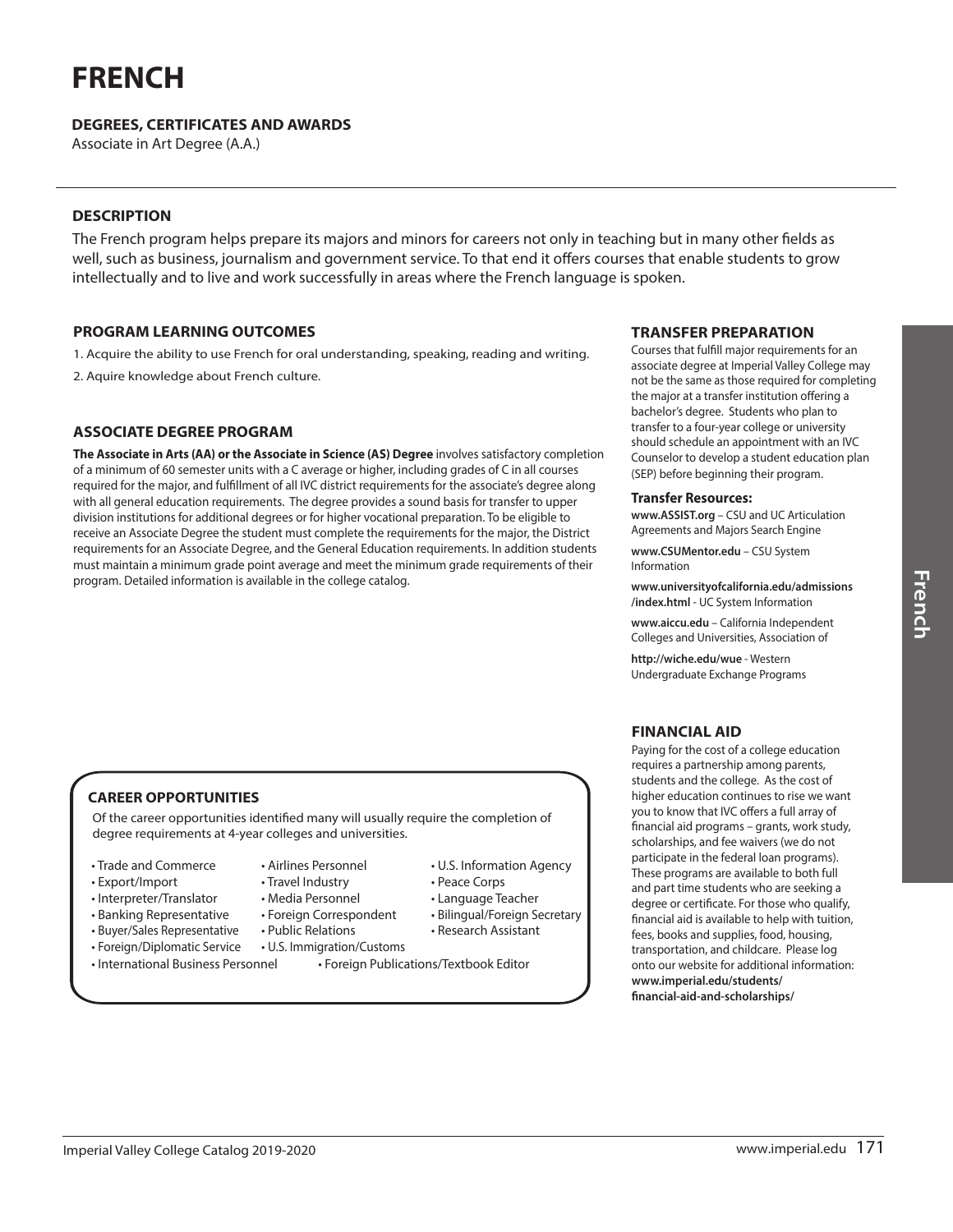# **FRENCH**

# **DEGREES, CERTIFICATES AND AWARDS**

Associate in Art Degree (A.A.)

## **DESCRIPTION**

The French program helps prepare its majors and minors for careers not only in teaching but in many other fields as well, such as business, journalism and government service. To that end it offers courses that enable students to grow intellectually and to live and work successfully in areas where the French language is spoken.

• U.S. Information Agency

• Peace Corps • Language Teacher • Bilingual/Foreign Secretary • Research Assistant

#### **PROGRAM LEARNING OUTCOMES**

1. Acquire the ability to use French for oral understanding, speaking, reading and writing.

2. Aquire knowledge about French culture.

# **ASSOCIATE DEGREE PROGRAM**

**The Associate in Arts (AA) or the Associate in Science (AS) Degree** involves satisfactory completion of a minimum of 60 semester units with a C average or higher, including grades of C in all courses required for the major, and fulfillment of all IVC district requirements for the associate's degree along with all general education requirements. The degree provides a sound basis for transfer to upper division institutions for additional degrees or for higher vocational preparation. To be eligible to receive an Associate Degree the student must complete the requirements for the major, the District requirements for an Associate Degree, and the General Education requirements. In addition students must maintain a minimum grade point average and meet the minimum grade requirements of their program. Detailed information is available in the college catalog.

# **CAREER OPPORTUNITIES**

Of the career opportunities identified many will usually require the completion of degree requirements at 4-year colleges and universities.

- Trade and Commerce
- Export/Import
- Interpreter/Translator
- Banking Representative
- Buyer/Sales Representative
- Foreign/Diplomatic Service
- Travel Industry • Media Personnel
- Foreign Correspondent

• Airlines Personnel

- Public Relations
- U.S. Immigration/Customs
- International Business Personnel Foreign Publications/Textbook Editor

#### **TRANSFER PREPARATION**

Courses that fulfill major requirements for an associate degree at Imperial Valley College may not be the same as those required for completing the major at a transfer institution offering a bachelor's degree. Students who plan to transfer to a four-year college or university should schedule an appointment with an IVC Counselor to develop a student education plan (SEP) before beginning their program.

#### **Transfer Resources:**

**www.ASSIST.org** – CSU and UC Articulation Agreements and Majors Search Engine

**www.CSUMentor.edu** – CSU System Information

**www.universityofcalifornia.edu/admissions /index.html** - UC System Information

**www.aiccu.edu** – California Independent Colleges and Universities, Association of

**http://wiche.edu/wue** - Western Undergraduate Exchange Programs

# **FINANCIAL AID**

Paying for the cost of a college education requires a partnership among parents, students and the college. As the cost of higher education continues to rise we want you to know that IVC offers a full array of financial aid programs – grants, work study, scholarships, and fee waivers (we do not participate in the federal loan programs). These programs are available to both full and part time students who are seeking a degree or certificate. For those who qualify, financial aid is available to help with tuition, fees, books and supplies, food, housing, transportation, and childcare. Please log onto our website for additional information: **www.imperial.edu/students/ financial-aid-and-scholarships/**